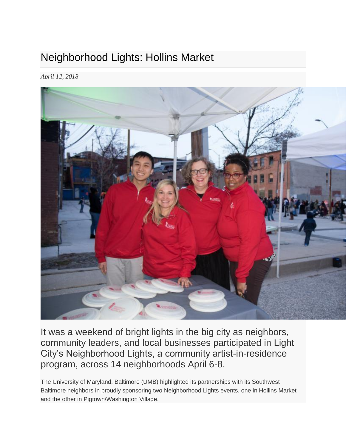## Neighborhood Lights: Hollins Market

*April 12, 2018*



It was a weekend of bright lights in the big city as neighbors, community leaders, and local businesses participated in Light City's Neighborhood Lights, a community artist-in-residence program, across 14 neighborhoods April 6-8.

The University of Maryland, Baltimore (UMB) highlighted its partnerships with its Southwest Baltimore neighbors in proudly sponsoring two Neighborhood Lights events, one in Hollins Market and the other in Pigtown/Washington Village.